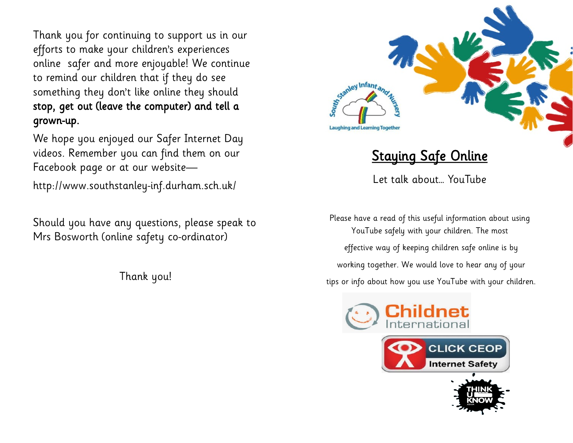Thank you for continuing to support us in our efforts to make your children's experiences online safer and more enjoyable! We continue to remind our children that if they do see something they don't like online they should stop, get out (leave the computer) and tell a grown-up.

We hope you enjoyed our Safer Internet Day videos. Remember you can find them on our Facebook page or at our website—

http://www.southstanley-inf.durham.sch.uk/

Should you have any questions, please speak to Mrs Bosworth (online safety co-ordinator)

Thank you!



## Staying Safe Online

Let talk about… YouTube

Please have a read of this useful information about using YouTube safely with your children. The most effective way of keeping children safe online is by working together. We would love to hear any of your tips or info about how you use YouTube with your children.